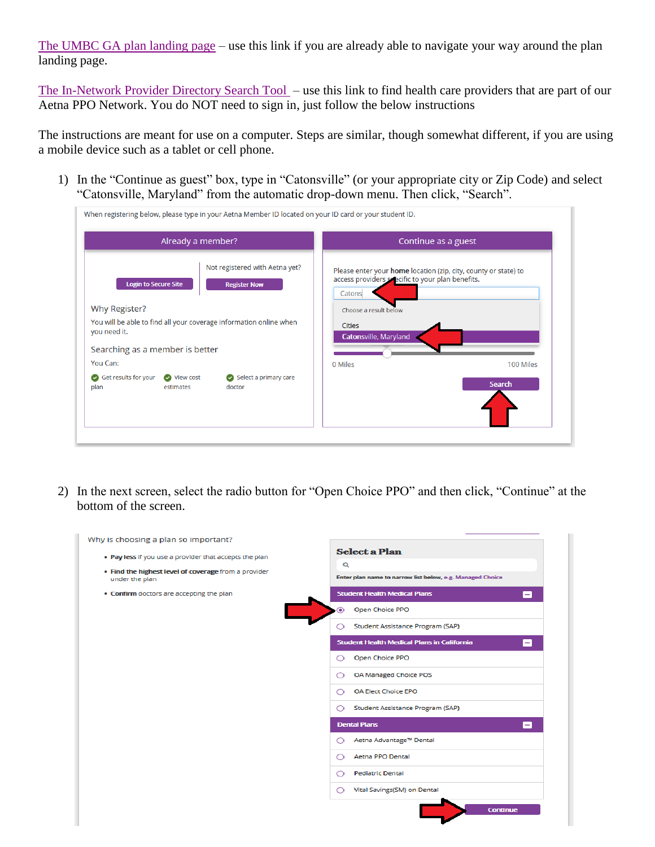[The UMBC GA plan landing page](https://www.aetnastudenthealth.com/en/school/890425/index.html) – use this link if you are already able to navigate your way around the plan landing page.

[The In-Network Provider Directory Search Tool](https://www.aetna.com/dsepublic/#/contentPage?page=providerSearchLanding&site_id=studenthealth) – use this link to find health care providers that are part of our Aetna PPO Network. You do NOT need to sign in, just follow the below instructions

The instructions are meant for use on a computer. Steps are similar, though somewhat different, if you are using a mobile device such as a tablet or cell phone.

1) In the "Continue as guest" box, type in "Catonsville" (or your appropriate city or Zip Code) and select "Catonsville, Maryland" from the automatic drop-down menu. Then click, "Search".

| Already a member?                                                                  |                                                       | Continue as a guest                                                                                                           |               |  |  |  |  |  |  |
|------------------------------------------------------------------------------------|-------------------------------------------------------|-------------------------------------------------------------------------------------------------------------------------------|---------------|--|--|--|--|--|--|
| <b>Login to Secure Site</b>                                                        | Not registered with Aetna yet?<br><b>Register Now</b> | Please enter your home location (zip, city, county or state) to<br>access providers specific to your plan benefits.<br>Catons |               |  |  |  |  |  |  |
| Why Register?                                                                      |                                                       | Choose a result below                                                                                                         |               |  |  |  |  |  |  |
| You will be able to find all your coverage information online when<br>you need it. |                                                       | <b>Cities</b><br>Catonsville, Maryland                                                                                        |               |  |  |  |  |  |  |
| Searching as a member is better                                                    |                                                       |                                                                                                                               |               |  |  |  |  |  |  |
| You Can:                                                                           |                                                       | 0 Miles                                                                                                                       | 100 Miles     |  |  |  |  |  |  |
| Get results for your<br>View cost<br>plan<br>estimates                             | Select a primary care<br>doctor                       |                                                                                                                               | <b>Search</b> |  |  |  |  |  |  |

2) In the next screen, select the radio button for "Open Choice PPO" and then click, "Continue" at the bottom of the screen.

| Why is choosing a plan so important?                                   |                                                                       |
|------------------------------------------------------------------------|-----------------------------------------------------------------------|
| . Pay less if you use a provider that accepts the plan                 | <b>Select a Plan</b>                                                  |
| . Find the highest level of coverage from a provider<br>under the plan | $\alpha$<br>Enter plan name to narrow list below, e.g. Managed Choice |
| • Confirm doctors are accepting the plan                               | <b>Student Health Medical Plans</b><br>-                              |
|                                                                        | Open Choice PPO<br>◉                                                  |
|                                                                        | Student Assistance Program (SAP)<br>◯                                 |
|                                                                        | <b>Student Health Medical Plans in California</b><br>$-$              |
|                                                                        | Open Choice PPO<br>∩                                                  |
|                                                                        | OA Managed Choice POS<br>◯                                            |
|                                                                        | <b>OA Elect Choice EPO</b><br>$\circ$                                 |
|                                                                        | Student Assistance Program (SAP)<br>∩                                 |
|                                                                        | <b>Dental Plans</b><br>-1                                             |
|                                                                        | Aetna Advantage™ Dental<br>∩                                          |
|                                                                        | Aetna PPO Dental<br>◯                                                 |
|                                                                        | <b>Pediatric Dental</b><br>◯                                          |
|                                                                        | Vital Savings(SM) on Dental                                           |